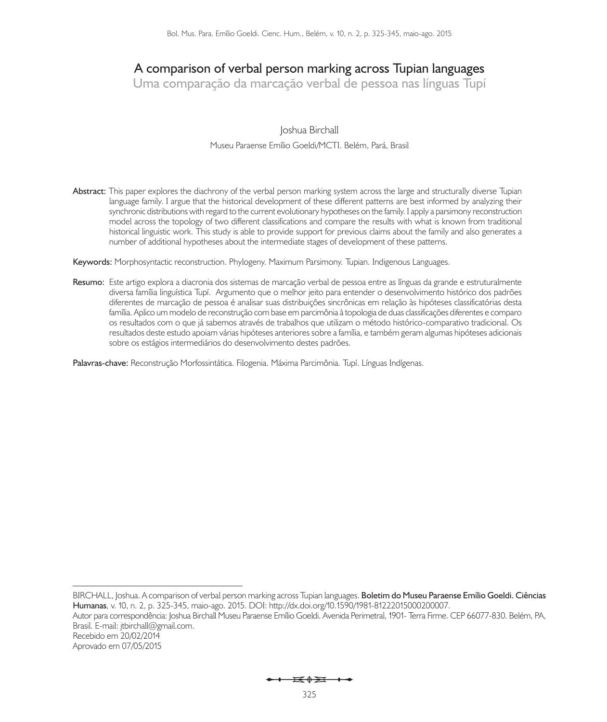# **A comparison of verbal person marking across Tupian languages**

**Uma comparação da marcação verbal de pessoa nas línguas Tupí**

### Joshua Birchall

Museu Paraense Emílio Goeldi/MCTI. Belém, Pará, Brasil

**Abstract:** This paper explores the diachrony of the verbal person marking system across the large and structurally diverse Tupian language family. I argue that the historical development of these different patterns are best informed by analyzing their synchronic distributions with regard to the current evolutionary hypotheses on the family. I apply a parsimony reconstruction model across the topology of two different classifications and compare the results with what is known from traditional historical linguistic work. This study is able to provide support for previous claims about the family and also generates a number of additional hypotheses about the intermediate stages of development of these patterns.

**Keywords:** Morphosyntactic reconstruction. Phylogeny. Maximum Parsimony. Tupian. Indigenous Languages.

**Resumo:** Este artigo explora a diacronia dos sistemas de marcação verbal de pessoa entre as línguas da grande e estruturalmente diversa família linguística Tupí. Argumento que o melhor jeito para entender o desenvolvimento histórico dos padrões diferentes de marcação de pessoa é analisar suas distribuições sincrônicas em relação às hipóteses classificatórias desta família. Aplico um modelo de reconstrução com base em parcimônia à topologia de duas classificações diferentes e comparo os resultados com o que já sabemos através de trabalhos que utilizam o método histórico-comparativo tradicional. Os resultados deste estudo apoiam várias hipóteses anteriores sobre a família, e também geram algumas hipóteses adicionais sobre os estágios intermediários do desenvolvimento destes padrões.

**Palavras-chave:** Reconstrução Morfossintática. Filogenia. Máxima Parcimônia. Tupí. Línguas Indígenas.

BIRCHALL, Joshua. A comparison of verbal person marking across Tupian languages. **Boletim do Museu Paraense Emílio Goeldi. Ciências Humanas**, v. 10, n. 2, p. 325-345, maio-ago. 2015. DOI: http://dx.doi.org/10.1590/1981-81222015000200007.

Autor para correspondência: Joshua Birchall Museu Paraense Emílio Goeldi. Avenida Perimetral, 1901- Terra Firme. CEP 66077-830. Belém, PA, Brasil. E-mail: jtbirchall@gmail.com.

Recebido em 20/02/2014 Aprovado em 07/05/2015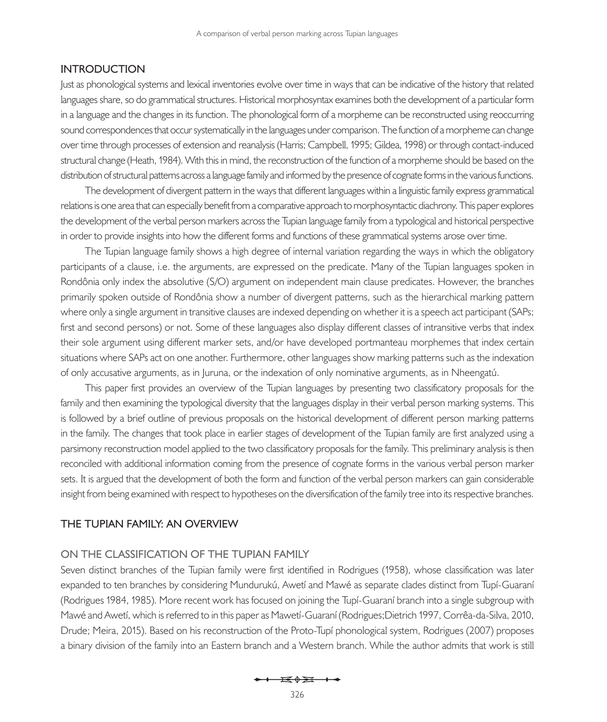## **INTRODUCTION**

Just as phonological systems and lexical inventories evolve over time in ways that can be indicative of the history that related languages share, so do grammatical structures. Historical morphosyntax examines both the development of a particular form in a language and the changes in its function. The phonological form of a morpheme can be reconstructed using reoccurring sound correspondences that occur systematically in the languages under comparison. The function of a morpheme can change over time through processes of extension and reanalysis (Harris; Campbell, 1995; Gildea, 1998) or through contact-induced structural change (Heath, 1984). With this in mind, the reconstruction of the function of a morpheme should be based on the distribution of structural patterns across a language family and informed by the presence of cognate forms in the various functions.

The development of divergent pattern in the ways that different languages within a linguistic family express grammatical relations is one area that can especially benefit from a comparative approach to morphosyntactic diachrony. This paper explores the development of the verbal person markers across the Tupian language family from a typological and historical perspective in order to provide insights into how the different forms and functions of these grammatical systems arose over time.

The Tupian language family shows a high degree of internal variation regarding the ways in which the obligatory participants of a clause, i.e. the arguments, are expressed on the predicate. Many of the Tupian languages spoken in Rondônia only index the absolutive (S/O) argument on independent main clause predicates. However, the branches primarily spoken outside of Rondônia show a number of divergent patterns, such as the hierarchical marking pattern where only a single argument in transitive clauses are indexed depending on whether it is a speech act participant (SAPs; first and second persons) or not. Some of these languages also display different classes of intransitive verbs that index their sole argument using different marker sets, and/or have developed portmanteau morphemes that index certain situations where SAPs act on one another. Furthermore, other languages show marking patterns such as the indexation of only accusative arguments, as in Juruna, or the indexation of only nominative arguments, as in Nheengatú.

This paper first provides an overview of the Tupian languages by presenting two classificatory proposals for the family and then examining the typological diversity that the languages display in their verbal person marking systems. This is followed by a brief outline of previous proposals on the historical development of different person marking patterns in the family. The changes that took place in earlier stages of development of the Tupian family are first analyzed using a parsimony reconstruction model applied to the two classificatory proposals for the family. This preliminary analysis is then reconciled with additional information coming from the presence of cognate forms in the various verbal person marker sets. It is argued that the development of both the form and function of the verbal person markers can gain considerable insight from being examined with respect to hypotheses on the diversification of the family tree into its respective branches.

## **THE TUPIAN FAMILY: AN OVERVIEW**

#### **On the classification of the Tupian family**

Seven distinct branches of the Tupian family were first identified in Rodrigues (1958), whose classification was later expanded to ten branches by considering Mundurukú, Awetí and Mawé as separate clades distinct from Tupí-Guaraní (Rodrigues 1984, 1985). More recent work has focused on joining the Tupí-Guaraní branch into a single subgroup with Mawé and Awetí, which is referred to in this paper as Mawetí-Guaraní (Rodrigues;Dietrich 1997, Corrêa-da-Silva, 2010, Drude; Meira, 2015). Based on his reconstruction of the Proto-Tupí phonological system, Rodrigues (2007) proposes a binary division of the family into an Eastern branch and a Western branch. While the author admits that work is still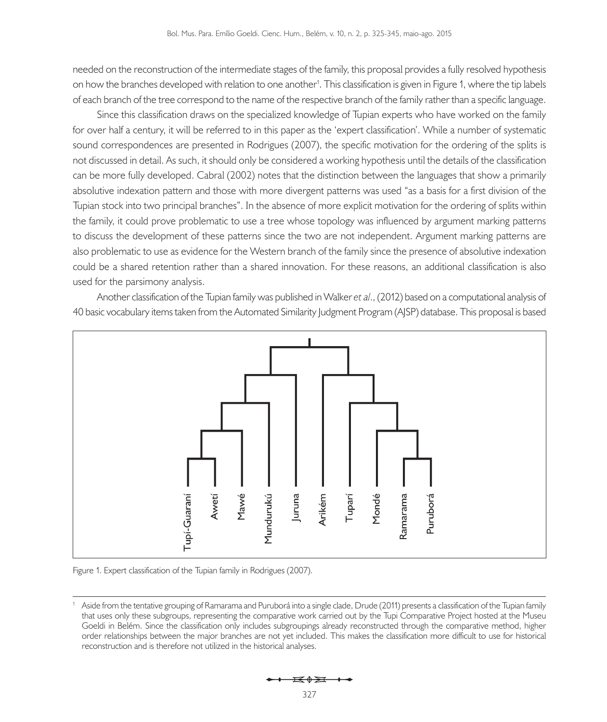needed on the reconstruction of the intermediate stages of the family, this proposal provides a fully resolved hypothesis on how the branches developed with relation to one another<sup>1</sup>. This classification is given in Figure 1, where the tip labels of each branch of the tree correspond to the name of the respective branch of the family rather than a specific language.

Since this classification draws on the specialized knowledge of Tupian experts who have worked on the family for over half a century, it will be referred to in this paper as the 'expert classification'. While a number of systematic sound correspondences are presented in Rodrigues (2007), the specific motivation for the ordering of the splits is not discussed in detail. As such, it should only be considered a working hypothesis until the details of the classification can be more fully developed. Cabral (2002) notes that the distinction between the languages that show a primarily absolutive indexation pattern and those with more divergent patterns was used "as a basis for a first division of the Tupian stock into two principal branches". In the absence of more explicit motivation for the ordering of splits within the family, it could prove problematic to use a tree whose topology was influenced by argument marking patterns to discuss the development of these patterns since the two are not independent. Argument marking patterns are also problematic to use as evidence for the Western branch of the family since the presence of absolutive indexation could be a shared retention rather than a shared innovation. For these reasons, an additional classification is also used for the parsimony analysis.

Another classification of the Tupian family was published in Walker *et al*., (2012) based on a computational analysis of 40 basic vocabulary items taken from the Automated Similarity Judgment Program (AJSP) database. This proposal is based



Figure 1. Expert classification of the Tupian family in Rodrigues (2007).

Aside from the tentative grouping of Ramarama and Puruborá into a single clade, Drude (2011) presents a classification of the Tupian family that uses only these subgroups, representing the comparative work carried out by the Tupi Comparative Project hosted at the Museu Goeldi in Belém. Since the classification only includes subgroupings already reconstructed through the comparative method, higher order relationships between the major branches are not yet included. This makes the classification more difficult to use for historical reconstruction and is therefore not utilized in the historical analyses.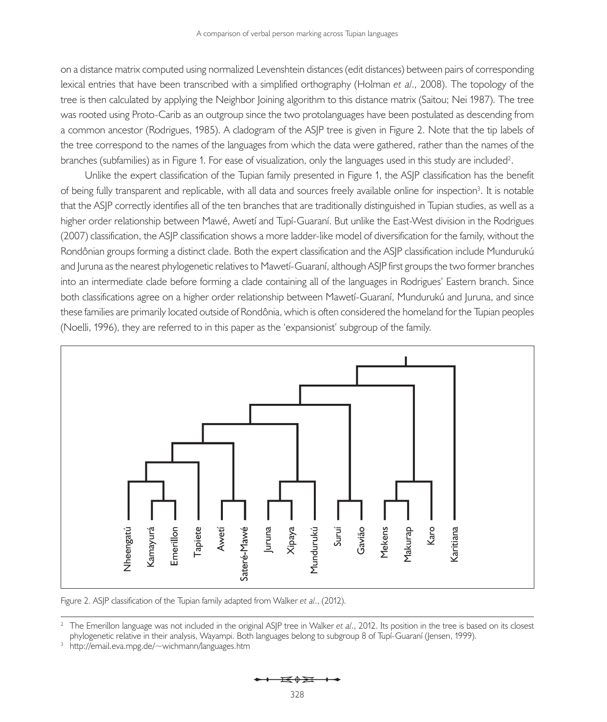on a distance matrix computed using normalized Levenshtein distances (edit distances) between pairs of corresponding lexical entries that have been transcribed with a simplified orthography (Holman *et al*., 2008). The topology of the tree is then calculated by applying the Neighbor Joining algorithm to this distance matrix (Saitou; Nei 1987). The tree was rooted using Proto-Carib as an outgroup since the two protolanguages have been postulated as descending from a common ancestor (Rodrigues, 1985). A cladogram of the ASJP tree is given in Figure 2. Note that the tip labels of the tree correspond to the names of the languages from which the data were gathered, rather than the names of the branches (subfamilies) as in Figure 1. For ease of visualization, only the languages used in this study are included<sup>2</sup>.

Unlike the expert classification of the Tupian family presented in Figure 1, the ASJP classification has the benefit of being fully transparent and replicable, with all data and sources freely available online for inspection<sup>3</sup>. It is notable that the ASJP correctly identifies all of the ten branches that are traditionally distinguished in Tupian studies, as well as a higher order relationship between Mawé, Awetí and Tupí-Guaraní. But unlike the East-West division in the Rodrigues (2007) classification, the ASJP classification shows a more ladder-like model of diversification for the family, without the Rondônian groups forming a distinct clade. Both the expert classification and the ASJP classification include Mundurukú and Juruna as the nearest phylogenetic relatives to Mawetí-Guaraní, although ASJP first groups the two former branches into an intermediate clade before forming a clade containing all of the languages in Rodrigues' Eastern branch. Since both classifications agree on a higher order relationship between Mawetí-Guaraní, Mundurukú and Juruna, and since these families are primarily located outside of Rondônia, which is often considered the homeland for the Tupian peoples (Noelli, 1996), they are referred to in this paper as the 'expansionist' subgroup of the family.



Figure 2. ASJP classification of the Tupian family adapted from Walker *et al*., (2012).

2 The Emerillon language was not included in the original ASJP tree in Walker *et al*., 2012. Its position in the tree is based on its closest phylogenetic relative in their analysis, Wayampi. Both languages belong to subgroup 8 of Tupí-Guaraní (Jensen, 1999).

$$
\leftarrow \leftarrow \mathbb{H} \oplus \mathbb{H} \rightarrow
$$

http://email.eva.mpg.de/~wichmann/languages.htm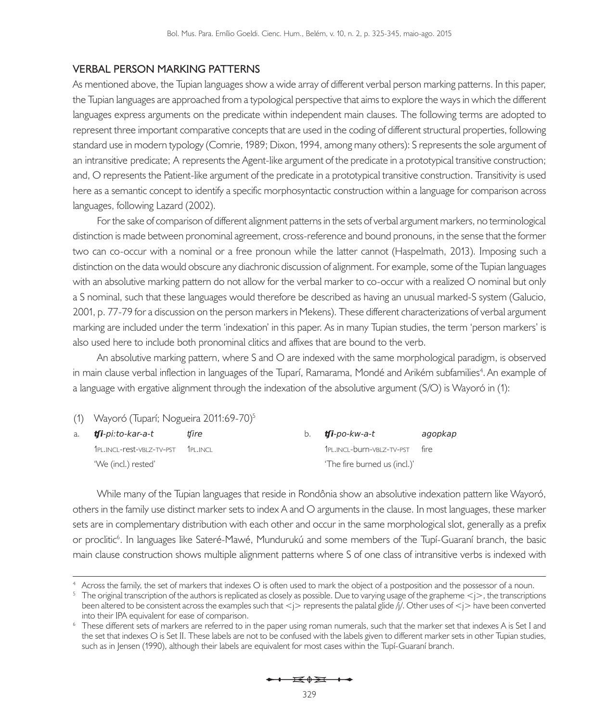# **VERBAL PERSON MARKING PATTERNS**

As mentioned above, the Tupian languages show a wide array of different verbal person marking patterns. In this paper, the Tupian languages are approached from a typological perspective that aims to explore the ways in which the different languages express arguments on the predicate within independent main clauses. The following terms are adopted to represent three important comparative concepts that are used in the coding of different structural properties, following standard use in modern typology (Comrie, 1989; Dixon, 1994, among many others): S represents the sole argument of an intransitive predicate; A represents the Agent-like argument of the predicate in a prototypical transitive construction; and, O represents the Patient-like argument of the predicate in a prototypical transitive construction. Transitivity is used here as a semantic concept to identify a specific morphosyntactic construction within a language for comparison across languages, following Lazard (2002).

For the sake of comparison of different alignment patterns in the sets of verbal argument markers, no terminological distinction is made between pronominal agreement, cross-reference and bound pronouns, in the sense that the former two can co-occur with a nominal or a free pronoun while the latter cannot (Haspelmath, 2013). Imposing such a distinction on the data would obscure any diachronic discussion of alignment. For example, some of the Tupian languages with an absolutive marking pattern do not allow for the verbal marker to co-occur with a realized O nominal but only a S nominal, such that these languages would therefore be described as having an unusual marked-S system (Galucio, 2001, p. 77-79 for a discussion on the person markers in Mekens). These different characterizations of verbal argument marking are included under the term 'indexation' in this paper. As in many Tupian studies, the term 'person markers' is also used here to include both pronominal clitics and affixes that are bound to the verb.

An absolutive marking pattern, where S and O are indexed with the same morphological paradigm, is observed in main clause verbal inflection in languages of the Tuparí, Ramarama, Mondé and Arikém subfamilies<sup>4</sup>. An example of a language with ergative alignment through the indexation of the absolutive argument (S/O) is Wayoró in (1):

(1) Wayoró (Tuparí; Nogueira 2011:69-70)5

| a. <b>tfi-</b> pi:to-kar-a-t       | tfire |  | b. <b>tfi-</b> po-kw-a-t       | agopkap |  |
|------------------------------------|-------|--|--------------------------------|---------|--|
| 1PL INCL-rest-VBLZ-TV-PST 1PL INCL |       |  | 1PL INCL-burn-VBLZ-TV-PST fire |         |  |
| 'We (incl.) rested'                |       |  | 'The fire burned us (incl.)'   |         |  |

While many of the Tupian languages that reside in Rondônia show an absolutive indexation pattern like Wayoró, others in the family use distinct marker sets to index A and O arguments in the clause. In most languages, these marker sets are in complementary distribution with each other and occur in the same morphological slot, generally as a prefix or proclitic<sup>6</sup>. In languages like Sateré-Mawé, Mundurukú and some members of the Tupí-Guaraní branch, the basic main clause construction shows multiple alignment patterns where S of one class of intransitive verbs is indexed with

<sup>&</sup>lt;sup>4</sup> Across the family, the set of markers that indexes O is often used to mark the object of a postposition and the possessor of a noun.

 $^5$  The original transcription of the authors is replicated as closely as possible. Due to varying usage of the grapheme  $\lt$ j $>$ , the transcriptions been altered to be consistent across the examples such that  $\langle \rangle$  represents the palatal glide  $\eta/$ . Other uses of  $\langle \rangle$  have been converted into their IPA equivalent for ease of comparison.

<sup>6</sup> These different sets of markers are referred to in the paper using roman numerals, such that the marker set that indexes A is Set I and the set that indexes O is Set II. These labels are not to be confused with the labels given to different marker sets in other Tupian studies, such as in Jensen (1990), although their labels are equivalent for most cases within the Tupí-Guaraní branch.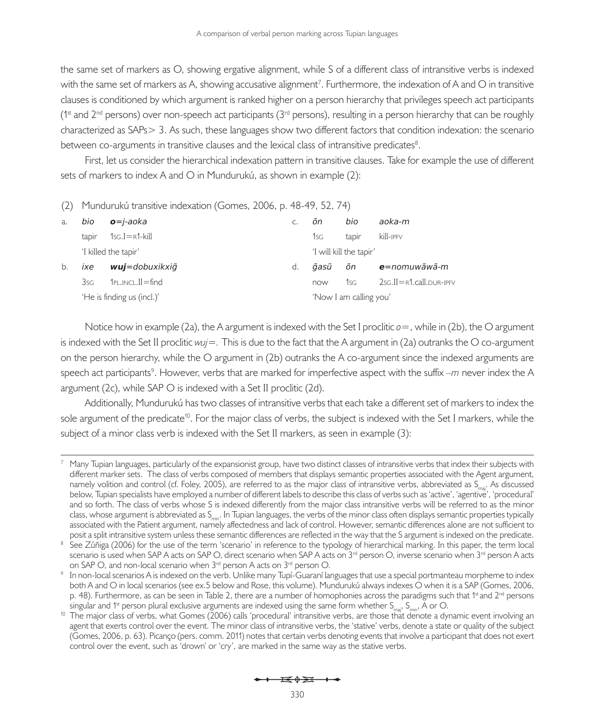the same set of markers as O, showing ergative alignment, while S of a different class of intransitive verbs is indexed with the same set of markers as A, showing accusative alignment<sup>7</sup>. Furthermore, the indexation of A and O in transitive clauses is conditioned by which argument is ranked higher on a person hierarchy that privileges speech act participants ( $1$ <sup>st</sup> and  $2^{nd}$  persons) over non-speech act participants ( $3^{rd}$  persons), resulting in a person hierarchy that can be roughly characterized as SAPs> 3. As such, these languages show two different factors that condition indexation: the scenario between co-arguments in transitive clauses and the lexical class of intransitive predicates<sup>8</sup>.

First, let us consider the hierarchical indexation pattern in transitive clauses. Take for example the use of different sets of markers to index A and O in Mundurukú, as shown in example (2):

(2) Mundurukú transitive indexation (Gomes, 2006, p. 48-49, 52, 74)

| a. | bio   | $o = i$ -aoka              |    | ön   | bio                     | aoka-m                               |
|----|-------|----------------------------|----|------|-------------------------|--------------------------------------|
|    | tapir | $1$ sg. $I = R1$ -kill     |    | 1sG  | tapir                   | $k$ ill- $IPFV$                      |
|    |       | 'I killed the tapir'       |    |      | 'I will kill the tapir' |                                      |
| b. | ixe   | <b>wuj</b> =dobuxikxiã     | d. | ãasũ | õn                      | $e$ =nomuwãwã-m                      |
|    | 3sG   | $1P$ . INCL $II = find$    |    | now  | 1sG                     | $2$ sg. II $=$ $R1$ . call. DUR-IPFV |
|    |       | 'He is finding us (incl.)' |    |      | 'Now I am calling you'  |                                      |

Notice how in example (2a), the A argument is indexed with the Set I proclitic *o=*, while in (2b), the O argument is indexed with the Set II proclitic *wuj=.* This is due to the fact that the A argument in (2a) outranks the O co-argument on the person hierarchy, while the O argument in (2b) outranks the A co-argument since the indexed arguments are speech act participants<sup>9</sup>. However, verbs that are marked for imperfective aspect with the suffix *–m* never index the A argument (2c), while SAP O is indexed with a Set II proclitic (2d).

Additionally, Mundurukú has two classes of intransitive verbs that each take a different set of markers to index the sole argument of the predicate<sup>10</sup>. For the major class of verbs, the subject is indexed with the Set I markers, while the subject of a minor class verb is indexed with the Set II markers, as seen in example (3):

 $^7$  Many Tupian languages, particularly of the expansionist group, have two distinct classes of intransitive verbs that index their subjects with different marker sets. The class of verbs composed of members that displays semantic properties associated with the Agent argument, namely volition and control (cf. Foley, 2005), are referred to as the major class of intransitive verbs, abbreviated as S<sub>maj</sub>. As discussed below, Tupian specialists have employed a number of different labels to describe this class of verbs such as 'active', 'agentive', 'procedural' and so forth. The class of verbs whose S is indexed differently from the major class intransitive verbs will be referred to as the minor class, whose argument is abbreviated as S<sub>min</sub>. In Tupian languages, the verbs of the minor class often displays semantic properties typically associated with the Patient argument, namely affectedness and lack of control. However, semantic differences alone are not sufficient to posit a split intransitive system unless these semantic differences are reflected in the way that the S argument is indexed on the predicate.

<sup>8</sup> See Zúñiga (2006) for the use of the term 'scenario' in reference to the typology of hierarchical marking. In this paper, the term local scenario is used when SAP A acts on SAP O, direct scenario when SAP A acts on 3<sup>rd</sup> person O, inverse scenario when 3<sup>rd</sup> person A acts on SAP O, and non-local scenario when 3<sup>rd</sup> person A acts on 3<sup>rd</sup> person O.

<sup>9</sup> In non-local scenarios A is indexed on the verb. Unlike many Tupí-Guaraní languages that use a special portmanteau morpheme to index both A and O in local scenarios (see ex.5 below and Rose, this volume). Mundurukú always indexes O when it is a SAP (Gomes, 2006, p. 48). Furthermore, as can be seen in Table 2, there are a number of homophonies across the paradigms such that 1<sup>st</sup> and 2<sup>nd</sup> persons singular and 1<sup>st</sup> person plural exclusive arguments are indexed using the same form whether S<sub>maj</sub>, S<sub>min</sub>, A or O.<br><sup>10</sup> The major class of verbs, what Gomes (2006) calls 'procedural' intransitive verbs, are those that d

agent that exerts control over the event. The minor class of intransitive verbs, the 'stative' verbs, denote a state or quality of the subject (Gomes, 2006, p. 63). Picanço (pers. comm. 2011) notes that certain verbs denoting events that involve a participant that does not exert control over the event, such as 'drown' or 'cry', are marked in the same way as the stative verbs.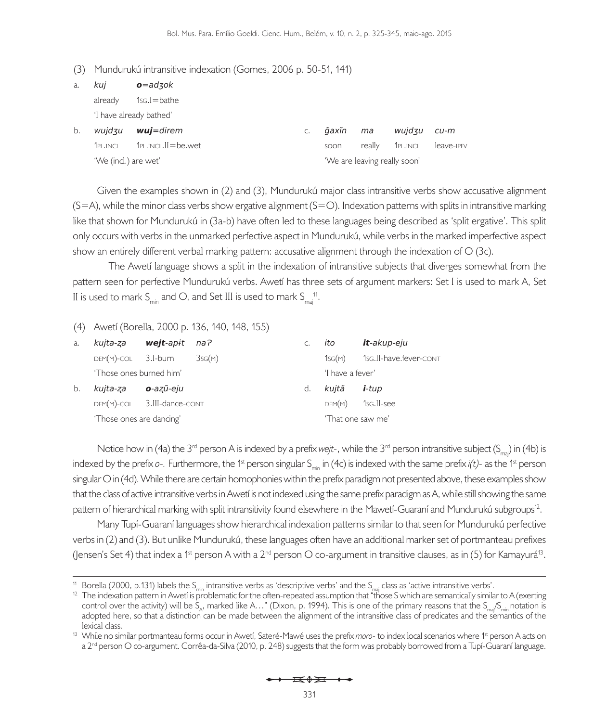(3) Mundurukú intransitive indexation (Gomes, 2006 p. 50-51, 141)

| a. | kuj                     | $o = adzok$                            |    |       |                              |          |            |
|----|-------------------------|----------------------------------------|----|-------|------------------------------|----------|------------|
|    | already                 | $1sc.I =$ bathe                        |    |       |                              |          |            |
|    | 'I have already bathed' |                                        |    |       |                              |          |            |
| b. | wujdzu                  | $wuj =$ direm                          | C. | qaxîn | ma                           | wujdzu   | cu-m       |
|    | 1pi .inci               | $1$ PLJNCL $\overline{N}$ $I =$ be wet |    | soon  | really                       | 1pl.incl | leave-IPFV |
|    | 'We (incl.) are wet'    |                                        |    |       | 'We are leaving really soon' |          |            |

Given the examples shown in (2) and (3), Mundurukú major class intransitive verbs show accusative alignment  $(S=A)$ , while the minor class verbs show ergative alignment  $(S=C)$ . Indexation patterns with splits in intransitive marking like that shown for Mundurukú in (3a-b) have often led to these languages being described as 'split ergative'. This split only occurs with verbs in the unmarked perfective aspect in Mundurukú, while verbs in the marked imperfective aspect show an entirely different verbal marking pattern: accusative alignment through the indexation of O (3c).

 The Awetí language shows a split in the indexation of intransitive subjects that diverges somewhat from the pattern seen for perfective Mundurukú verbs. Awetí has three sets of argument markers: Set I is used to mark A, Set II is used to mark  $S_{\text{min}}$  and O, and Set III is used to mark  $S_{\text{maj}}$ <sup>11</sup>.

(4) Awetí (Borella, 2000 p. 136, 140, 148, 155)

| a. | kujta-za                 | <b>wejt</b> -apit           | na?    |    | ito               | <b>it-</b> akup-eju    |
|----|--------------------------|-----------------------------|--------|----|-------------------|------------------------|
|    | $DEM(M)-COL$ 3.1-burn    |                             | 3SG(M) |    | 1SG(M)            | 1sg.II-have.fever-cont |
|    | 'Those ones burned him'  |                             |        |    | 'I have a fever'  |                        |
| b. | kujta-za                 | o-azũ-eiu                   |        | d. | kuitã             | <b>i</b> -tup          |
|    |                          | DEM(M)-COL 3.III-dance-CONT |        |    | DEM(M)            | 1sg.II-see             |
|    | 'Those ones are dancing' |                             |        |    | 'That one saw me' |                        |
|    |                          |                             |        |    |                   |                        |

Notice how in (4a) the 3<sup>rd</sup> person A is indexed by a prefix *wejt*-, while the 3<sup>rd</sup> person intransitive subject (S<sub>mai</sub>) in (4b) is indexed by the prefix *o*-. Furthermore, the 1<sup>st</sup> person singular S<sub>min</sub> in (4c) is indexed with the same prefix *i(t)*- as the 1<sup>st</sup> person singular O in (4d). While there are certain homophonies within the prefix paradigm not presented above, these examples show that the class of active intransitive verbs in Awetí is not indexed using the same prefix paradigm as A, while still showing the same pattern of hierarchical marking with split intransitivity found elsewhere in the Mawetí-Guaraní and Mundurukú subgroups<sup>12</sup>.

Many Tupí-Guaraní languages show hierarchical indexation patterns similar to that seen for Mundurukú perfective verbs in (2) and (3). But unlike Mundurukú, these languages often have an additional marker set of portmanteau prefixes (Jensen's Set 4) that index a 1<sup>st</sup> person A with a  $2^{nd}$  person O co-argument in transitive clauses, as in (5) for Kamayurá<sup>13</sup>.

 $\overrightarrow{=}$   $\overrightarrow{0}$   $\overrightarrow{2}$   $\overrightarrow{1}$   $\overrightarrow{0}$ 

<sup>&</sup>lt;sup>11</sup> Borella (2000, p.131) labels the S<sub>min</sub> intransitive verbs as 'descriptive verbs' and the S<sub>mil</sub> class as 'active intransitive verbs'.<br><sup>12</sup> The indexation pattern in Awetí is problematic for the often-repeated assump control over the activity) will be S<sub>A</sub>, marked like A…" (Dixon, p. 1994). This is one of the primary reasons that the S<sub>ma</sub>/S<sub>min</sub> notation is adopted here, so that a distinction can be made between the alignment of the intransitive class of predicates and the semantics of the lexical class.

<sup>&</sup>lt;sup>13</sup> While no similar portmanteau forms occur in Awetí, Sateré-Mawé uses the prefix *moro*- to index local scenarios where 1<sup>st</sup> person A acts on a 2<sup>nd</sup> person O co-argument. Corrêa-da-Silva (2010, p. 248) suggests that the form was probably borrowed from a Tupí-Guaraní language.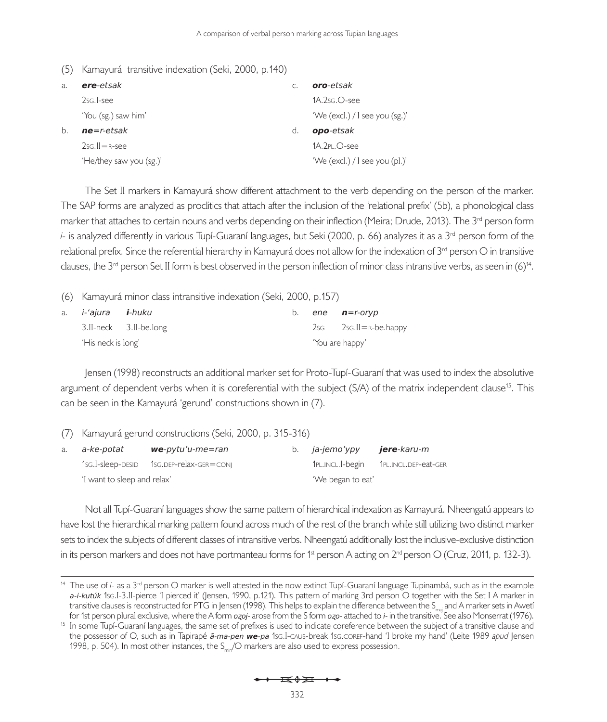(5) Kamayurá transitive indexation (Seki, 2000, p.140)

| a. | ere-etsak            |    | <b>oro</b> -etsak              |
|----|----------------------|----|--------------------------------|
|    | $2$ sg. I-see        |    | $1A.2$ sg. O-see               |
|    | 'You (sg.) saw him'  |    | 'We (excl.) / I see you (sg.)' |
|    |                      |    |                                |
| b. | $ne=r-etsak$         | d. | opo-etsak                      |
|    | $2$ sg. II $=$ R-see |    | $1A.2P1.0-see$                 |

The Set II markers in Kamayurá show different attachment to the verb depending on the person of the marker. The SAP forms are analyzed as proclitics that attach after the inclusion of the 'relational prefix' (5b), a phonological class marker that attaches to certain nouns and verbs depending on their inflection (Meira; Drude, 2013). The  $3^{rd}$  person form *i*- is analyzed differently in various Tupí-Guaraní languages, but Seki (2000, p. 66) analyzes it as a 3<sup>rd</sup> person form of the relational prefix. Since the referential hierarchy in Kamayurá does not allow for the indexation of 3<sup>rd</sup> person O in transitive clauses, the 3<sup>rd</sup> person Set II form is best observed in the person inflection of minor class intransitive verbs, as seen in  $(6)^{14}$ .

(6) Kamayurá minor class intransitive indexation (Seki, 2000, p.157)

| a. <i>i-ʻajura <b>i</b>-huku</i> |                        |                 | b. ene <b>n</b> =r-oryp     |
|----------------------------------|------------------------|-----------------|-----------------------------|
|                                  | 3.II-neck 3.II-be.long |                 | $2sG$ $2sG.II = R-be.happy$ |
| 'His neck is long'               |                        | 'You are happy' |                             |

Jensen (1998) reconstructs an additional marker set for Proto-Tupí-Guaraní that was used to index the absolutive argument of dependent verbs when it is coreferential with the subject (S/A) of the matrix independent clause<sup>15</sup>. This can be seen in the Kamayurá 'gerund' constructions shown in (7).

## (7) Kamayurá gerund constructions (Seki, 2000, p. 315-316)

| a. | a-ke-potat                  | $we$ -pytu'u-me $=$ ran                      | b. <i>ja-jemo'ypy</i> | <b>jere</b> -karu-m |                                       |
|----|-----------------------------|----------------------------------------------|-----------------------|---------------------|---------------------------------------|
|    |                             | $1sc.I-sleep-DESID$ $1sc.DEP-relax-GER=CONI$ |                       |                     | 1PL.INCL.I-begin 1PL.INCL.DEP-eat-GER |
|    | 'I want to sleep and relax' |                                              |                       | 'We began to eat'   |                                       |

Not all Tupí-Guaraní languages show the same pattern of hierarchical indexation as Kamayurá. Nheengatú appears to have lost the hierarchical marking pattern found across much of the rest of the branch while still utilizing two distinct marker sets to index the subjects of different classes of intransitive verbs. Nheengatú additionally lost the inclusive-exclusive distinction in its person markers and does not have portmanteau forms for 1<sup>st</sup> person A acting on 2<sup>nd</sup> person O (Cruz, 2011, p. 132-3).

<sup>&</sup>lt;sup>14</sup> The use of *i*- as a <sup>3rd</sup> person O marker is well attested in the now extinct Tupí-Guaraní language Tupinambá, such as in the example *a-i-kutúk* 1sg.I-3.II-pierce 'I pierced it' (Jensen, 1990, p.121). This pattern of marking 3rd person O together with the Set I A marker in transitive clauses is reconstructed for PTG in Jensen (1998). This helps to explain the difference between the S<sub>mal</sub> and A marker sets in Awetí for 1st person plural exclusive, where the A form *ozoj*- arose from the S form *ozo*- attached to *i*- in the transitive. See also Monserrat (1976).

<sup>&</sup>lt;sup>15</sup> In some Tupí-Guaraní languages, the same set of prefixes is used to indicate coreference between the subject of a transitive clause and the possessor of O, such as in Tapirapé *ã-ma-pen we-pa* 1sg.I-caus-break 1sg.coref-hand 'I broke my hand' (Leite 1989 *apud* Jensen 1998, p. 504). In most other instances, the  $S_{\text{min}}/O$  markers are also used to express possession.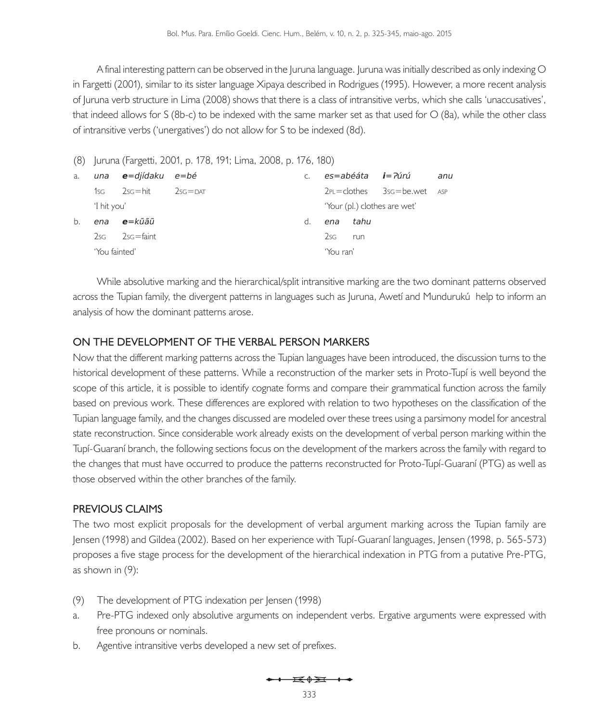A final interesting pattern can be observed in the Juruna language. Juruna was initially described as only indexing O in Fargetti (2001), similar to its sister language Xipaya described in Rodrigues (1995). However, a more recent analysis of Juruna verb structure in Lima (2008) shows that there is a class of intransitive verbs, which she calls 'unaccusatives', that indeed allows for S (8b-c) to be indexed with the same marker set as that used for O (8a), while the other class of intransitive verbs ('unergatives') do not allow for S to be indexed (8d).

(8) Juruna (Fargetti, 2001, p. 178, 191; Lima, 2008, p. 176, 180)

| a. |               | una <b>e</b> =djídaku e=bé |                  | $C_{1}$ |           |       | es=abéáta <b>i</b> =Púrú              | anu |
|----|---------------|----------------------------|------------------|---------|-----------|-------|---------------------------------------|-----|
|    |               | $1$ sg $2$ sg=hit          | $2sG = \Delta T$ |         |           |       | $2PL = clothes$ $3sG = be, wet$ $ASP$ |     |
|    | 'I hit you'   |                            |                  |         |           |       | 'Your (pl.) clothes are wet'          |     |
| b. |               | ena <b>e</b> =kũãũ         |                  | d.      | ena       | tahu  |                                       |     |
|    | 2sG           | $2sG =$ faint              |                  |         | 2sG       | - run |                                       |     |
|    | 'You fainted' |                            |                  |         | 'You ran' |       |                                       |     |

While absolutive marking and the hierarchical/split intransitive marking are the two dominant patterns observed across the Tupian family, the divergent patterns in languages such as Juruna, Awetí and Mundurukú help to inform an analysis of how the dominant patterns arose.

## **ON THE DEVELOPMENT OF THE VERBAL PERSON MARKERS**

Now that the different marking patterns across the Tupian languages have been introduced, the discussion turns to the historical development of these patterns. While a reconstruction of the marker sets in Proto-Tupí is well beyond the scope of this article, it is possible to identify cognate forms and compare their grammatical function across the family based on previous work. These differences are explored with relation to two hypotheses on the classification of the Tupian language family, and the changes discussed are modeled over these trees using a parsimony model for ancestral state reconstruction. Since considerable work already exists on the development of verbal person marking within the Tupí-Guaraní branch, the following sections focus on the development of the markers across the family with regard to the changes that must have occurred to produce the patterns reconstructed for Proto-Tupí-Guaraní (PTG) as well as those observed within the other branches of the family.

## **PREVIOUS CLAIMS**

The two most explicit proposals for the development of verbal argument marking across the Tupian family are Jensen (1998) and Gildea (2002). Based on her experience with Tupí-Guaraní languages, Jensen (1998, p. 565-573) proposes a five stage process for the development of the hierarchical indexation in PTG from a putative Pre-PTG, as shown in (9):

- (9) The development of PTG indexation per Jensen (1998)
- a. Pre-PTG indexed only absolutive arguments on independent verbs. Ergative arguments were expressed with free pronouns or nominals.
- b. Agentive intransitive verbs developed a new set of prefixes.

 $\overrightarrow{=}$   $\overrightarrow{}}$   $\overrightarrow{}}$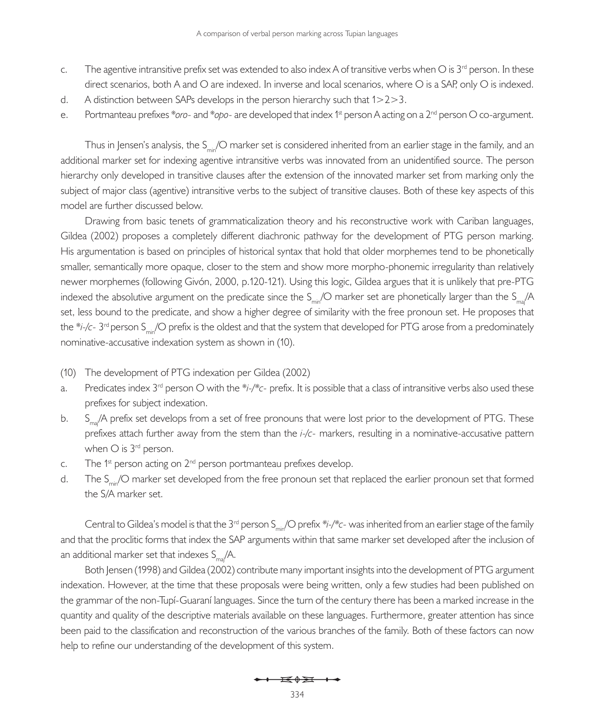- c. The agentive intransitive prefix set was extended to also index A of transitive verbs when O is  $3^{rd}$  person. In these direct scenarios, both A and O are indexed. In inverse and local scenarios, where O is a SAP, only O is indexed.
- d. A distinction between SAPs develops in the person hierarchy such that 1>2>3.
- e. Portmanteau prefixes \*oro- and \*opo- are developed that index 1<sup>st</sup> person A acting on a 2<sup>nd</sup> person O co-argument.

Thus in Jensen's analysis, the  $S_{min}/O$  marker set is considered inherited from an earlier stage in the family, and an additional marker set for indexing agentive intransitive verbs was innovated from an unidentified source. The person hierarchy only developed in transitive clauses after the extension of the innovated marker set from marking only the subject of major class (agentive) intransitive verbs to the subject of transitive clauses. Both of these key aspects of this model are further discussed below.

Drawing from basic tenets of grammaticalization theory and his reconstructive work with Cariban languages, Gildea (2002) proposes a completely different diachronic pathway for the development of PTG person marking. His argumentation is based on principles of historical syntax that hold that older morphemes tend to be phonetically smaller, semantically more opaque, closer to the stem and show more morpho-phonemic irregularity than relatively newer morphemes (following Givón, 2000, p.120-121). Using this logic, Gildea argues that it is unlikely that pre-PTG indexed the absolutive argument on the predicate since the  $S_{min}/O$  marker set are phonetically larger than the  $S_{max}/A$ set, less bound to the predicate, and show a higher degree of similarity with the free pronoun set. He proposes that the  $*_{i}/c$ - 3<sup>rd</sup> person S<sub>min</sub>/O prefix is the oldest and that the system that developed for PTG arose from a predominately nominative-accusative indexation system as shown in (10).

- (10) The development of PTG indexation per Gildea (2002)
- a. Predicates index 3rd person O with the \**i-/\*c-* prefix. It is possible that a class of intransitive verbs also used these prefixes for subject indexation.
- b. S<sub>mai</sub>/A prefix set develops from a set of free pronouns that were lost prior to the development of PTG. These prefixes attach further away from the stem than the *i-/c-* markers, resulting in a nominative-accusative pattern when  $O$  is  $3^{rd}$  person.
- c. The  $1st$  person acting on  $2<sup>nd</sup>$  person portmanteau prefixes develop.
- d. The S<sub>min</sub>/O marker set developed from the free pronoun set that replaced the earlier pronoun set that formed the S/A marker set.

Central to Gildea's model is that the 3<sup>rd</sup> person S<sub>min</sub>/O prefix \*i-/\*c- was inherited from an earlier stage of the family and that the proclitic forms that index the SAP arguments within that same marker set developed after the inclusion of an additional marker set that indexes  $S_{\text{maj}}/A$ .

Both Jensen (1998) and Gildea (2002) contribute many important insights into the development of PTG argument indexation. However, at the time that these proposals were being written, only a few studies had been published on the grammar of the non-Tupí-Guaraní languages. Since the turn of the century there has been a marked increase in the quantity and quality of the descriptive materials available on these languages. Furthermore, greater attention has since been paid to the classification and reconstruction of the various branches of the family. Both of these factors can now help to refine our understanding of the development of this system.

 $+$   $\overline{\mathbf{13}}$   $+$   $\overline{\mathbf{24}}$   $+$   $\overline{\mathbf{36}}$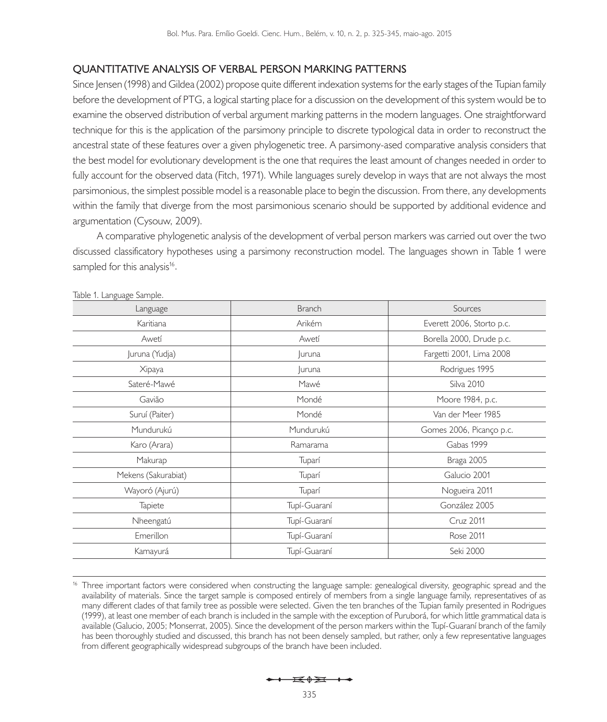# **QUANTITATIVE ANALYSIS OF VERBAL PERSON MARKING PATTERNS**

Since Jensen (1998) and Gildea (2002) propose quite different indexation systems for the early stages of the Tupian family before the development of PTG, a logical starting place for a discussion on the development of this system would be to examine the observed distribution of verbal argument marking patterns in the modern languages. One straightforward technique for this is the application of the parsimony principle to discrete typological data in order to reconstruct the ancestral state of these features over a given phylogenetic tree. A parsimony-ased comparative analysis considers that the best model for evolutionary development is the one that requires the least amount of changes needed in order to fully account for the observed data (Fitch, 1971). While languages surely develop in ways that are not always the most parsimonious, the simplest possible model is a reasonable place to begin the discussion. From there, any developments within the family that diverge from the most parsimonious scenario should be supported by additional evidence and argumentation (Cysouw, 2009).

A comparative phylogenetic analysis of the development of verbal person markers was carried out over the two discussed classificatory hypotheses using a parsimony reconstruction model. The languages shown in Table 1 were sampled for this analysis<sup>16</sup>.

| $I$ a $U$ ic $I$ . Lai iguage Jai $II$ ipie. |               |                           |
|----------------------------------------------|---------------|---------------------------|
| Language                                     | <b>Branch</b> | Sources                   |
| Karitiana                                    | Arikém        | Everett 2006, Storto p.c. |
| Awetí                                        | Awetí         | Borella 2000, Drude p.c.  |
| Juruna (Yudja)                               | <b>Juruna</b> | Fargetti 2001, Lima 2008  |
| Xipaya                                       | <b>Juruna</b> | Rodrigues 1995            |
| Sateré-Mawé                                  | Mawé          | <b>Silva 2010</b>         |
| Gavião                                       | Mondé         | Moore 1984, p.c.          |
| Suruí (Paiter)                               | Mondé         | Van der Meer 1985         |
| Mundurukú                                    | Mundurukú     | Gomes 2006, Picanço p.c.  |
| Karo (Arara)                                 | Ramarama      | Gabas 1999                |
| Makurap                                      | Tuparí        | Braga 2005                |
| Mekens (Sakurabiat)                          | Tuparí        | Galucio 2001              |
| Wayoró (Ajurú)                               | Tuparí        | Nogueira 2011             |
| Tapiete                                      | Tupí-Guaraní  | González 2005             |
| Nheengatú                                    | Tupí-Guaraní  | <b>Cruz 2011</b>          |
| Emerillon                                    | Tupí-Guaraní  | <b>Rose 2011</b>          |
| Kamayurá                                     | Tupí-Guaraní  | Seki 2000                 |
|                                              |               |                           |

Table 1. Language Sample.

<sup>16</sup> Three important factors were considered when constructing the language sample: genealogical diversity, geographic spread and the availability of materials. Since the target sample is composed entirely of members from a single language family, representatives of as many different clades of that family tree as possible were selected. Given the ten branches of the Tupian family presented in Rodrigues (1999), at least one member of each branch is included in the sample with the exception of Puruborá, for which little grammatical data is available (Galucio, 2005; Monserrat, 2005). Since the development of the person markers within the Tupí-Guaraní branch of the family has been thoroughly studied and discussed, this branch has not been densely sampled, but rather, only a few representative languages from different geographically widespread subgroups of the branch have been included.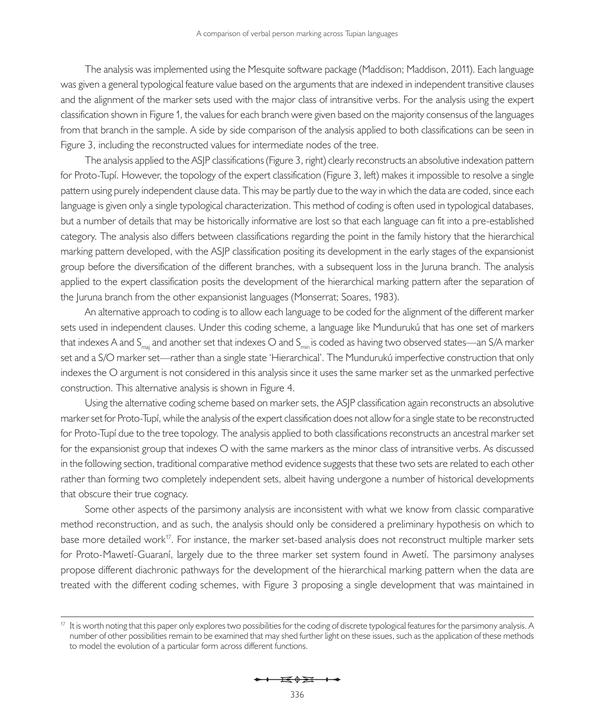The analysis was implemented using the Mesquite software package (Maddison; Maddison, 2011). Each language was given a general typological feature value based on the arguments that are indexed in independent transitive clauses and the alignment of the marker sets used with the major class of intransitive verbs. For the analysis using the expert classification shown in Figure 1, the values for each branch were given based on the majority consensus of the languages from that branch in the sample. A side by side comparison of the analysis applied to both classifications can be seen in Figure 3, including the reconstructed values for intermediate nodes of the tree.

The analysis applied to the ASJP classifications (Figure 3, right) clearly reconstructs an absolutive indexation pattern for Proto-Tupí. However, the topology of the expert classification (Figure 3, left) makes it impossible to resolve a single pattern using purely independent clause data. This may be partly due to the way in which the data are coded, since each language is given only a single typological characterization. This method of coding is often used in typological databases, but a number of details that may be historically informative are lost so that each language can fit into a pre-established category. The analysis also differs between classifications regarding the point in the family history that the hierarchical marking pattern developed, with the ASJP classification positing its development in the early stages of the expansionist group before the diversification of the different branches, with a subsequent loss in the Juruna branch. The analysis applied to the expert classification posits the development of the hierarchical marking pattern after the separation of the Juruna branch from the other expansionist languages (Monserrat; Soares, 1983).

An alternative approach to coding is to allow each language to be coded for the alignment of the different marker sets used in independent clauses. Under this coding scheme, a language like Mundurukú that has one set of markers that indexes A and S<sub>mai</sub> and another set that indexes O and S<sub>min</sub> is coded as having two observed states—an S/A marker set and a S/O marker set—rather than a single state 'Hierarchical'. The Mundurukú imperfective construction that only indexes the O argument is not considered in this analysis since it uses the same marker set as the unmarked perfective construction. This alternative analysis is shown in Figure 4.

Using the alternative coding scheme based on marker sets, the ASJP classification again reconstructs an absolutive marker set for Proto-Tupí, while the analysis of the expert classification does not allow for a single state to be reconstructed for Proto-Tupí due to the tree topology. The analysis applied to both classifications reconstructs an ancestral marker set for the expansionist group that indexes O with the same markers as the minor class of intransitive verbs. As discussed in the following section, traditional comparative method evidence suggests that these two sets are related to each other rather than forming two completely independent sets, albeit having undergone a number of historical developments that obscure their true cognacy.

Some other aspects of the parsimony analysis are inconsistent with what we know from classic comparative method reconstruction, and as such, the analysis should only be considered a preliminary hypothesis on which to base more detailed work<sup>17</sup>. For instance, the marker set-based analysis does not reconstruct multiple marker sets for Proto-Mawetí-Guaraní, largely due to the three marker set system found in Awetí. The parsimony analyses propose different diachronic pathways for the development of the hierarchical marking pattern when the data are treated with the different coding schemes, with Figure 3 proposing a single development that was maintained in

 $17$  It is worth noting that this paper only explores two possibilities for the coding of discrete typological features for the parsimony analysis. A number of other possibilities remain to be examined that may shed further light on these issues, such as the application of these methods to model the evolution of a particular form across different functions.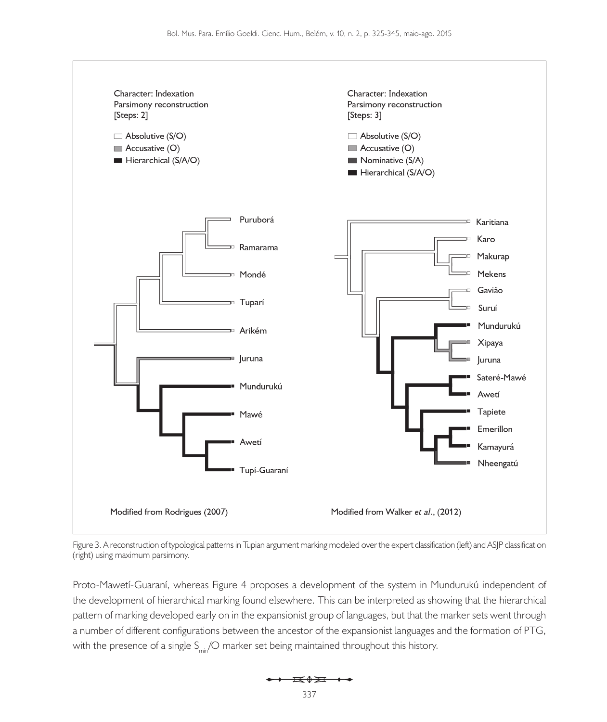

Figure 3. A reconstruction of typological patterns in Tupian argument marking modeled over the expert classification (left) and ASJP classification (right) using maximum parsimony.

Proto-Mawetí-Guaraní, whereas Figure 4 proposes a development of the system in Mundurukú independent of the development of hierarchical marking found elsewhere. This can be interpreted as showing that the hierarchical pattern of marking developed early on in the expansionist group of languages, but that the marker sets went through a number of different configurations between the ancestor of the expansionist languages and the formation of PTG, with the presence of a single  $S<sub>min</sub>/O$  marker set being maintained throughout this history.

<del>छ≬छ ।∢</del>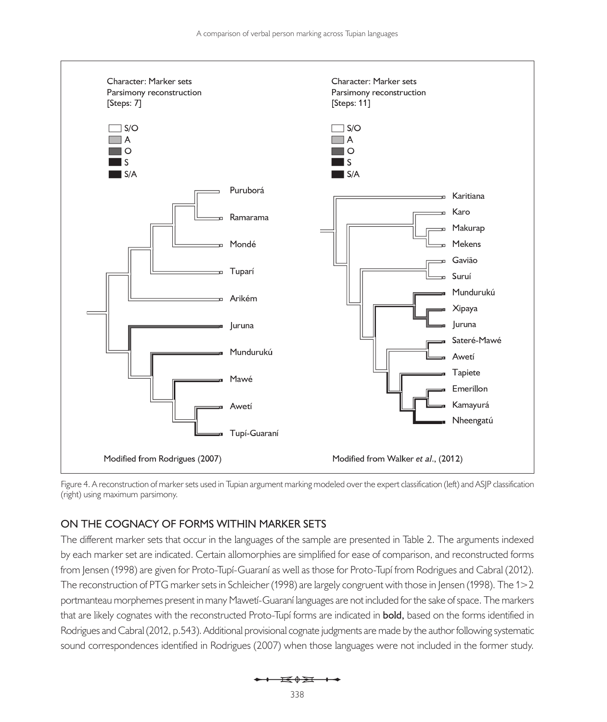

Figure 4. A reconstruction of marker sets used in Tupian argument marking modeled over the expert classification (left) and ASJP classification (right) using maximum parsimony.

# **ON THE COGNACY OF FORMS WITHIN MARKER SETS**

The different marker sets that occur in the languages of the sample are presented in Table 2. The arguments indexed by each marker set are indicated. Certain allomorphies are simplified for ease of comparison, and reconstructed forms from Jensen (1998) are given for Proto-Tupí-Guaraní as well as those for Proto-Tupí from Rodrigues and Cabral (2012). The reconstruction of PTG marker sets in Schleicher (1998) are largely congruent with those in Jensen (1998). The 1>2 portmanteau morphemes present in many Mawetí-Guaraní languages are not included for the sake of space. The markers that are likely cognates with the reconstructed Proto-Tupí forms are indicated in **bold,** based on the forms identified in Rodrigues and Cabral (2012, p.543). Additional provisional cognate judgments are made by the author following systematic sound correspondences identified in Rodrigues (2007) when those languages were not included in the former study.

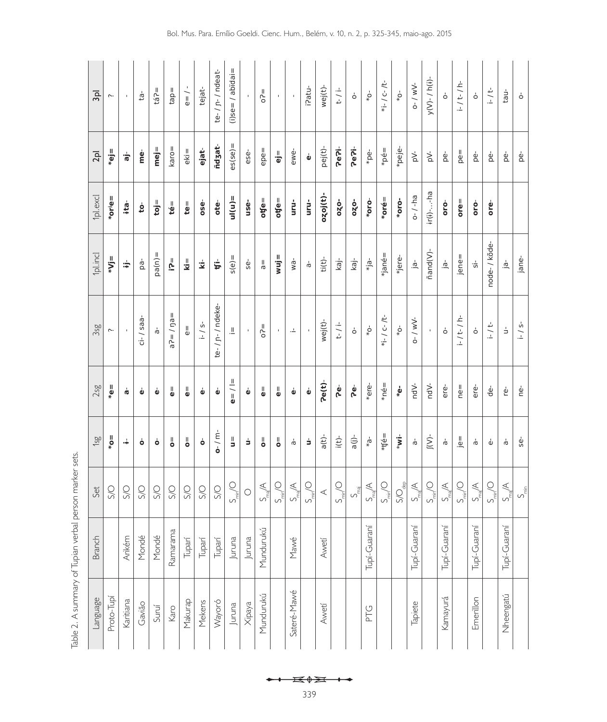| 3p1            | $\sim$                         | $\mathbf{I}$         | $\overline{\mathfrak{a}}$ | $tá$ ? $=$ | $=$ dep        | $e = / -$                      | tejat-                                                                 | te-/ n-/ ndeat- | $(i)$ se= / abidai=     | $\mathbf{I}$ | $_0^2$                     |                        | $\mathbf{I}$ | iPatu-    | $wej(t)$ -    | $t$ / i-           | ó                   | $\stackrel{\mathsf{L}}{\ast}$ | $*i-$ / c-/t-       | $\stackrel{\mathsf{L}}{\diamond}$ | $O - /$ WV-         | $y(V) - / h(i)$ | $\circ$             | $i - 1t - 1$       | $\mathring{\circ}$  | $i - 1$                                   | tau-               | ó                |
|----------------|--------------------------------|----------------------|---------------------------|------------|----------------|--------------------------------|------------------------------------------------------------------------|-----------------|-------------------------|--------------|----------------------------|------------------------|--------------|-----------|---------------|--------------------|---------------------|-------------------------------|---------------------|-----------------------------------|---------------------|-----------------|---------------------|--------------------|---------------------|-------------------------------------------|--------------------|------------------|
| 2p1            | $=$ ej                         | $\dot{\overline{a}}$ | ف<br>E                    | $mej =$    | $karo =$       | $eki =$                        | ejat-                                                                  | ñdzat-          | $es(se) =$              | ese-         | $e$ pe $=$                 | $\frac{1}{\mathbf{e}}$ | ewe-         | φ         | pej(t)-       | PePi-              | PePi-               | $+$ pe-                       | $*$ pé=             | *peje-                            | $\gtrsim$           | $\gtrsim$       | ģ                   | pe=                | ģ-                  | $\overset{\circ}{\underline{\mathsf{p}}}$ | ģ-                 | ġ                |
| 1pl.excl       | $*$ or $e=$                    | ita-                 | $\dot{q}$                 | $toj =$    | té=            | $te =$                         | ose-                                                                   | ote-            | $uI(u)$ =               | use-         | otfe=                      | otfe=                  | uru-         | uru-      | ozoj(t)-      | 020-               | 020-                | *oro-                         | $*$ oré=            | *oro-                             | $0 - 1 - ha$        | $ir(i)-$ -ha    | oro-                | $ore =$            | oro-                | ore-                                      |                    |                  |
| 1pl.incl       | $=5$                           | ÷                    | pa-                       | $pa(n) =$  | $\overline{5}$ | $\overline{k}$ i=              | ż                                                                      | \$              | $s(e) =$                | se-          | $\frac{\parallel}{\sigma}$ | $wuj =$                | wa-          | á         | $t$ i $(t)$ - | kaj-               | kaj-                | $\frac{1}{\ast}$ ja-          | $*j$ ané $=$        | *jere-                            | $\frac{1}{\alpha}$  | ñand(V)-        | $\frac{1}{\sigma}$  | jene=              | $\frac{1}{5}$       | node-/köde-                               | $\frac{1}{\alpha}$ | jane-            |
| 3sg            | $\sim$                         | ı                    | $ci-1$ saa-               | đ          | $a7 = / 10a =$ | $\stackrel{\text{  }}{\oplus}$ | $\frac{1}{2}$ / -i                                                     | te-/n-/ndeke-   | $\overline{\mathbb{L}}$ | $\mathbf I$  | $_0^2$                     |                        | <u>. т</u>   |           | wej(t)-       | $t$ -/ $i$         | ó                   | $\frac{1}{2}$                 | $*_{-} / c - / t -$ | $\frac{1}{2}$                     | $O-$ /wV-           | $\mathbf{r}$    | ó                   | $i - 1 + 1 - 1$    | ó                   | $i - 1$ t-                                | Б                  | $i-1$ / S-       |
| 2sg            | $\overset{\text{II}}{\bullet}$ | á                    | ώ                         | ώ          | له             | ⊎                              | ώ                                                                      | ه               | —<br>e= /               | ώ            | $\stackrel{  }{\bullet}$   | ⊪                      | ώ            | ه         | Pe(t)-        | م<br>م             | ەم                  | $*$ ere-                      | $*n\acute{e}$ =     | $\overset{\mathbf{L}}{\ast}$      | ndV-                | ndV-            | ere-                | $ne =$             | ere-                | $d$ e-                                    | Ļφ                 | ne−              |
| $\frac{58}{5}$ | $\overline{\bullet}$           | 4                    | ò                         | ò          | ő              | $\overline{\bullet}$           | $\stackrel{\scriptscriptstyle\shortparallel}{\scriptscriptstyle\circ}$ | $0 - 7$ m-      | $\mathrel{\mathop:}{=}$ | ь            | $\overline{\mathsf{o}}$    | $\overline{\bullet}$   | á            | ś         | $a(t)$ -      | $i(t)$ -           | a(j)-               | $\overset{1}{\sigma}$         | ∗tfé=               | $\dot{\mathbf{y}}$                | ά                   | J(V)-           | á                   | ⊫.                 | á                   | ώ                                         | φ                  | se-              |
| Set            | S/O                            | $\frac{1}{2}$        | S/O                       | S/O        | S/O            | S/O                            | S/O                                                                    | S/O             | $S_{\text{min}}/O$      | $\bigcirc$   | $S_{mag}$ /A               | $S_{\text{min}}/O$     | $S_{mag}$ /A | $S_{min}$ | ⋖             | $S_{\text{min}}/O$ | $S_{\overline{m}a}$ | $S_{mag}$ /A                  | $S_{min}/O$         | $SO_{\text{dep}}$                 | $S_{\text{mag}}$ /A | $S_{min}$ O     | $S_{\text{mag}}$ /A | $S_{\text{min}}/O$ | $S_{\text{mag}}$ /A | $S_{min}/O$                               | $S_{mag}$ /A       | $S_{\text{min}}$ |
| <b>Branch</b>  |                                | Arikém               | Mondé                     | Mondé      | Ramarama       | Tuparí                         | Tuparí                                                                 | Tupari          | Juruna                  | Juruna       | Mundurukú                  |                        | Mawé         |           | Awetí         |                    |                     | Tupí-Guaraní                  |                     |                                   | Tupí-Guaraní        |                 | Tupí-Guaraní        |                    | Tupí-Guaraní        |                                           | Tupí-Guaraní       |                  |
| Language       | Proto-Tupí                     | Karitiana            | Gavião                    | Suruí      | Karo           | Makurap                        | Mekens                                                                 | Wayoró          | Juruna                  | Xipaya       | Mundurukú                  |                        | Sateré-Mawé  |           | Awetí         |                    |                     | PTG                           |                     |                                   | Tapiete             |                 | Kamayurá            |                    | Emerillon           |                                           | Nheengatú          |                  |

Table 2. A summary of Tupian verbal person marker sets. Tupian verbal person marker sets.Table 2. A summary of

+ ★◆★ + ◆

339

# Bol. Mus. Para. Emílio Goeldi. Cienc. Hum., Belém, v. 10, n. 2, p. 325-345, maio-ago. 2015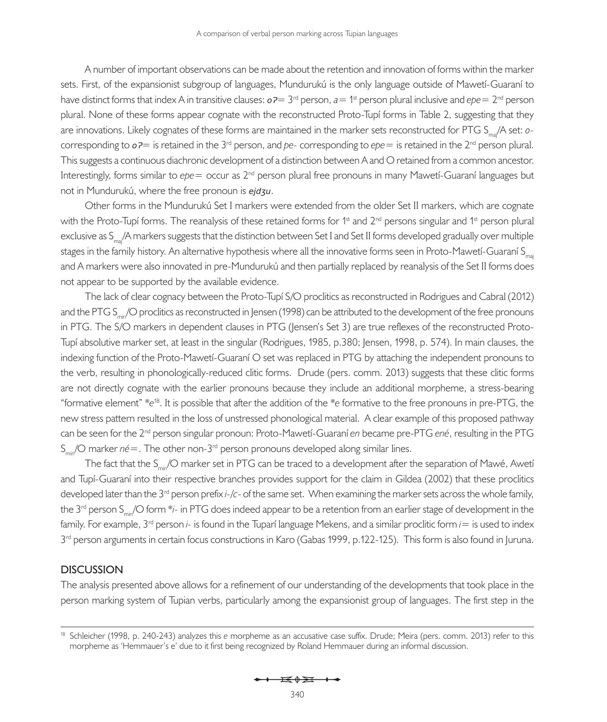A number of important observations can be made about the retention and innovation of forms within the marker sets. First, of the expansionist subgroup of languages, Mundurukú is the only language outside of Mawetí-Guaraní to have distinct forms that index A in transitive clauses:  $o = 3^{rd}$  person,  $a = 1^{st}$  person plural inclusive and  $epe = 2^{nd}$  person plural. None of these forms appear cognate with the reconstructed Proto-Tupí forms in Table 2, suggesting that they are innovations. Likely cognates of these forms are maintained in the marker sets reconstructed for PTG S<sub>ma</sub>/A set: *o*corresponding to  $o$ *?*= is retained in the 3<sup>rd</sup> person, and *pe*-corresponding to  $epe$  = is retained in the 2<sup>nd</sup> person plural. This suggests a continuous diachronic development of a distinction between A and O retained from a common ancestor. Interestingly, forms similar to *epe=* occur as 2nd person plural free pronouns in many Mawetí-Guaraní languages but not in Mundurukú, where the free pronoun is ejdzu.

Other forms in the Mundurukú Set I markers were extended from the older Set II markers, which are cognate with the Proto-Tupí forms. The reanalysis of these retained forms for 1st and 2<sup>nd</sup> persons singular and 1st person plural exclusive as S<sub>ma</sub>/A markers suggests that the distinction between Set I and Set II forms developed gradually over multiple stages in the family history. An alternative hypothesis where all the innovative forms seen in Proto-Mawetí-Guaraní S<sub>mai</sub> and A markers were also innovated in pre-Mundurukú and then partially replaced by reanalysis of the Set II forms does not appear to be supported by the available evidence.

The lack of clear cognacy between the Proto-Tupí S/O proclitics as reconstructed in Rodrigues and Cabral (2012) and the PTG S<sub>min</sub>/O proclitics as reconstructed in Jensen (1998) can be attributed to the development of the free pronouns in PTG. The S/O markers in dependent clauses in PTG (Jensen's Set 3) are true reflexes of the reconstructed Proto-Tupí absolutive marker set, at least in the singular (Rodrigues, 1985, p.380; Jensen, 1998, p. 574). In main clauses, the indexing function of the Proto-Mawetí-Guaraní O set was replaced in PTG by attaching the independent pronouns to the verb, resulting in phonologically-reduced clitic forms. Drude (pers. comm. 2013) suggests that these clitic forms are not directly cognate with the earlier pronouns because they include an additional morpheme, a stress-bearing "formative element" \**e*18. It is possible that after the addition of the \**e* formative to the free pronouns in pre-PTG, the new stress pattern resulted in the loss of unstressed phonological material. A clear example of this proposed pathway can be seen for the 2nd person singular pronoun: Proto-Mawetí-Guaraní *en* became pre-PTG *ené*, resulting in the PTG  $S_{min}/O$  marker  $n\acute{e}$  = . The other non-3<sup>rd</sup> person pronouns developed along similar lines.

The fact that the S<sub>min</sub>/O marker set in PTG can be traced to a development after the separation of Mawé, Awetí and Tupí-Guaraní into their respective branches provides support for the claim in Gildea (2002) that these proclitics developed later than the 3<sup>rd</sup> person prefix *i-/c*- of the same set. When examining the marker sets across the whole family, the 3<sup>rd</sup> person S<sub>min</sub>/O form \*/- in PTG does indeed appear to be a retention from an earlier stage of development in the family. For example, 3<sup>rd</sup> person *i*- is found in the Tuparí language Mekens, and a similar proclitic form *i* = is used to index  $3^{rd}$  person arguments in certain focus constructions in Karo (Gabas 1999, p.122-125). This form is also found in Juruna.

#### **DISCUSSION**

The analysis presented above allows for a refinement of our understanding of the developments that took place in the person marking system of Tupian verbs, particularly among the expansionist group of languages. The first step in the

<sup>18</sup> Schleicher (1998, p. 240-243) analyzes this *e* morpheme as an accusative case suffix. Drude; Meira (pers. comm. 2013) refer to this morpheme as 'Hemmauer's e' due to it first being recognized by Roland Hemmauer during an informal discussion.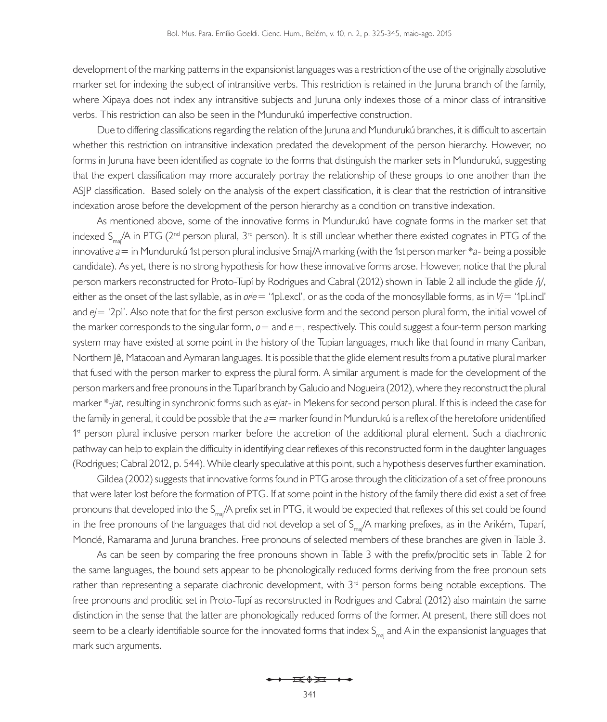development of the marking patterns in the expansionist languages was a restriction of the use of the originally absolutive marker set for indexing the subject of intransitive verbs. This restriction is retained in the Juruna branch of the family, where Xipaya does not index any intransitive subjects and Juruna only indexes those of a minor class of intransitive verbs. This restriction can also be seen in the Mundurukú imperfective construction.

Due to differing classifications regarding the relation of the Juruna and Mundurukú branches, it is difficult to ascertain whether this restriction on intransitive indexation predated the development of the person hierarchy. However, no forms in Juruna have been identified as cognate to the forms that distinguish the marker sets in Mundurukú, suggesting that the expert classification may more accurately portray the relationship of these groups to one another than the ASJP classification. Based solely on the analysis of the expert classification, it is clear that the restriction of intransitive indexation arose before the development of the person hierarchy as a condition on transitive indexation.

As mentioned above, some of the innovative forms in Mundurukú have cognate forms in the marker set that indexed  $S_{\text{max}}/A$  in PTG ( $2^{\text{nd}}$  person plural,  $3^{\text{rd}}$  person). It is still unclear whether there existed cognates in PTG of the innovative *a*= in Mundurukú 1st person plural inclusive Smaj/A marking (with the 1st person marker \**a*- being a possible candidate). As yet, there is no strong hypothesis for how these innovative forms arose. However, notice that the plural person markers reconstructed for Proto-Tupí by Rodrigues and Cabral (2012) shown in Table 2 all include the glide /j/, either as the onset of the last syllable, as in  $ofe = '1$ pl.excl', or as the coda of the monosyllable forms, as in  $Vj = '1$ pl.incl' and *ej*= '2pl'. Also note that for the first person exclusive form and the second person plural form, the initial vowel of the marker corresponds to the singular form,  $o=$  and  $e=$ , respectively. This could suggest a four-term person marking system may have existed at some point in the history of the Tupian languages, much like that found in many Cariban, Northern Jê, Matacoan and Aymaran languages. It is possible that the glide element results from a putative plural marker that fused with the person marker to express the plural form. A similar argument is made for the development of the person markers and free pronouns in the Tuparí branch by Galucio and Nogueira (2012), where they reconstruct the plural marker \*-*jat,* resulting in synchronic forms such as *ejat*- in Mekens for second person plural. If this is indeed the case for the family in general, it could be possible that the *a=* marker found in Mundurukú is a reflex of the heretofore unidentified 1<sup>st</sup> person plural inclusive person marker before the accretion of the additional plural element. Such a diachronic pathway can help to explain the difficulty in identifying clear reflexes of this reconstructed form in the daughter languages (Rodrigues; Cabral 2012, p. 544). While clearly speculative at this point, such a hypothesis deserves further examination.

Gildea (2002) suggests that innovative forms found in PTG arose through the cliticization of a set of free pronouns that were later lost before the formation of PTG. If at some point in the history of the family there did exist a set of free pronouns that developed into the S<sub>ma</sub>/A prefix set in PTG, it would be expected that reflexes of this set could be found in the free pronouns of the languages that did not develop a set of S<sub>ma</sub>/A marking prefixes, as in the Arikém, Tuparí, Mondé, Ramarama and Juruna branches. Free pronouns of selected members of these branches are given in Table 3.

As can be seen by comparing the free pronouns shown in Table 3 with the prefix/proclitic sets in Table 2 for the same languages, the bound sets appear to be phonologically reduced forms deriving from the free pronoun sets rather than representing a separate diachronic development, with  $3<sup>rd</sup>$  person forms being notable exceptions. The free pronouns and proclitic set in Proto-Tupí as reconstructed in Rodrigues and Cabral (2012) also maintain the same distinction in the sense that the latter are phonologically reduced forms of the former. At present, there still does not seem to be a clearly identifiable source for the innovated forms that index  $S_{\text{maj}}$  and A in the expansionist languages that mark such arguments.

 $\overline{\phantom{a}}$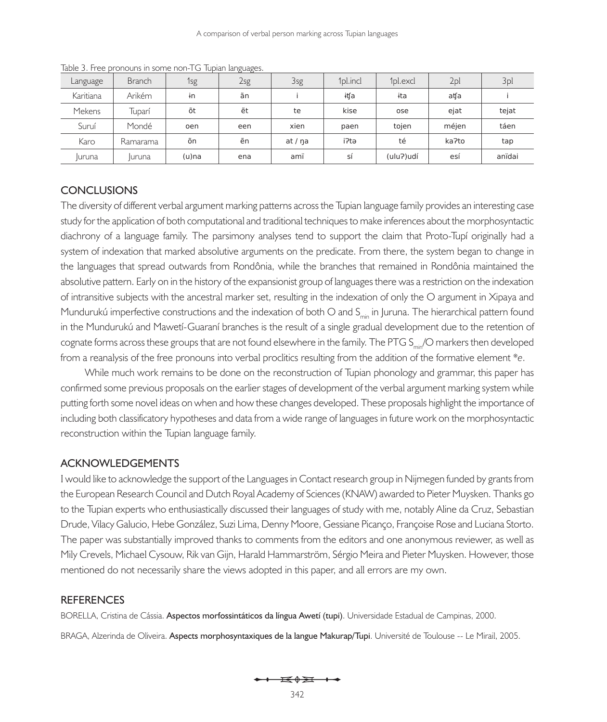|               |               |          | <u>.</u> |       |          |           |       |        |
|---------------|---------------|----------|----------|-------|----------|-----------|-------|--------|
| Language      | <b>Branch</b> | 1sg      | 2sg      | 3sg   | 1pl.incl | 1pl.excl  | 2pl   | 3pl    |
| Karitiana     | Arikém        | in       | ãn       |       | itfa     | ita       | aʧa   |        |
| <b>Mekens</b> | Tuparí        | õt       | ět       | te    | kise     | ose       | ejat  | tejat  |
| Suruí         | Mondé         | oen      | een      | xien  | paen     | tojen     | méjen | táen   |
| Karo          | Ramarama      | õn       | ěn       | at/na | i?tə     | té        | ka?to | tap    |
| <b>Juruna</b> | <b>Juruna</b> | $(u)$ na | ena      | amï   | SÍ       | (ulu?)udí | esí   | anïdai |

Table 3. Free pronouns in some non-TG Tupian languages.

## **CONCLUSIONS**

The diversity of different verbal argument marking patterns across the Tupian language family provides an interesting case study for the application of both computational and traditional techniques to make inferences about the morphosyntactic diachrony of a language family. The parsimony analyses tend to support the claim that Proto-Tupí originally had a system of indexation that marked absolutive arguments on the predicate. From there, the system began to change in the languages that spread outwards from Rondônia, while the branches that remained in Rondônia maintained the absolutive pattern. Early on in the history of the expansionist group of languages there was a restriction on the indexation of intransitive subjects with the ancestral marker set, resulting in the indexation of only the O argument in Xipaya and Mundurukú imperfective constructions and the indexation of both  $O$  and  $S_{min}$  in Juruna. The hierarchical pattern found in the Mundurukú and Mawetí-Guaraní branches is the result of a single gradual development due to the retention of cognate forms across these groups that are not found elsewhere in the family. The PTG  $S_{min}/O$  markers then developed from a reanalysis of the free pronouns into verbal proclitics resulting from the addition of the formative element \**e*.

While much work remains to be done on the reconstruction of Tupian phonology and grammar, this paper has confirmed some previous proposals on the earlier stages of development of the verbal argument marking system while putting forth some novel ideas on when and how these changes developed. These proposals highlight the importance of including both classificatory hypotheses and data from a wide range of languages in future work on the morphosyntactic reconstruction within the Tupian language family.

## **ACKNOWLEDGEMENTS**

I would like to acknowledge the support of the Languages in Contact research group in Nijmegen funded by grants from the European Research Council and Dutch Royal Academy of Sciences (KNAW) awarded to Pieter Muysken. Thanks go to the Tupian experts who enthusiastically discussed their languages of study with me, notably Aline da Cruz, Sebastian Drude, Vilacy Galucio, Hebe González, Suzi Lima, Denny Moore, Gessiane Picanço, Françoise Rose and Luciana Storto. The paper was substantially improved thanks to comments from the editors and one anonymous reviewer, as well as Mily Crevels, Michael Cysouw, Rik van Gijn, Harald Hammarström, Sérgio Meira and Pieter Muysken. However, those mentioned do not necessarily share the views adopted in this paper, and all errors are my own.

#### **REFERENCES**

BORELLA, Cristina de Cássia. **Aspectos morfossintáticos da língua Awetí (tupi)**. Universidade Estadual de Campinas, 2000.

BRAGA, Alzerinda de Oliveira. **Aspects morphosyntaxiques de la langue Makurap/Tupi**. Université de Toulouse -- Le Mirail, 2005.

$$
\leftarrow \leftarrow \rightarrow \rightarrow
$$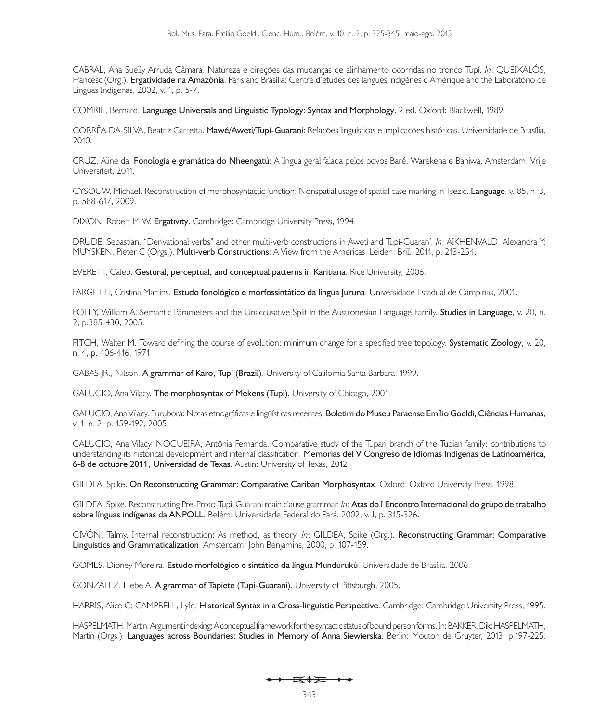CABRAL, Ana Suelly Arruda Câmara. Natureza e direções das mudanças de alinhamento ocorridas no tronco Tupí. *In*: QUEIXALÓS, Francesc (Org.). **Ergatividade na Amazônia**. Paris and Brasília: Centre d'études des langues indigènes d'Amérique and the Laboratório de Línguas Indígenas, 2002, v. 1, p. 5-7.

COMRIE, Bernard. **Language Universals and Linguistic Typology: Syntax and Morphology**. 2 ed. Oxford: Blackwell, 1989.

CORRÊA-DA-SILVA, Beatriz Carretta. **Mawé/Awetí/Tupí-Guaraní**: Relações linguísticas e implicações históricas. Universidade de Brasília, 2010.

CRUZ, Aline da. **Fonologia e gramática do Nheengatú**: A língua geral falada pelos povos Baré, Warekena e Baniwa. Amsterdam: Vrije Universiteit, 2011.

CYSOUW, Michael. Reconstruction of morphosyntactic function: Nonspatial usage of spatial case marking in Tsezic. **Language**, v. 85, n. 3, p. 588-617, 2009.

DIXON, Robert M W. **Ergativity**. Cambridge: Cambridge University Press, 1994.

DRUDE, Sebastian. "Derivational verbs" and other multi-verb constructions in Awetí and Tupí-Guaraní. *In*: AIKHENVALD, Alexandra Y; MUYSKEN, Pieter C (Orgs.). **Multi-verb Constructions**: A View from the Americas. Leiden: Brill, 2011, p. 213-254.

EVERETT, Caleb. **Gestural, perceptual, and conceptual patterns in Karitiana**. Rice University, 2006.

FARGETTI, Cristina Martins. **Estudo fonológico e morfossintático da língua Juruna**. Universidade Estadual de Campinas, 2001.

FOLEY, William A. Semantic Parameters and the Unaccusative Split in the Austronesian Language Family. **Studies in Language**, v. 20, n. 2, p.385-430, 2005.

FITCH, Walter M. Toward defining the course of evolution: minimum change for a specified tree topology. **Systematic Zoology**, v. 20, n. 4, p. 406-416, 1971.

GABAS JR., Nilson. **A grammar of Karo, Tupí (Brazil)**. University of California Santa Barbara: 1999.

GALUCIO, Ana Vilacy. **The morphosyntax of Mekens (Tupi)**. University of Chicago, 2001.

GALUCIO, Ana Vilacy. Puruborá: Notas etnográficas e lingüísticas recentes. **Boletim do Museu Paraense Emílio Goeldi, Ciências Humanas**, v. 1, n. 2, p. 159-192, 2005.

GALUCIO, Ana Vilacy. NOGUEIRA, Antônia Fernanda. Comparative study of the Tupari branch of the Tupian family: contributions to understanding its historical development and internal classification. **Memorias del V Congreso de Idiomas Indígenas de Latinoamérica, 6-8 de octubre 2011, Universidad de Texas.** Austin: University of Texas, 2012

GILDEA, Spike. **On Reconstructing Grammar: Comparative Cariban Morphosyntax**. Oxford: Oxford University Press, 1998.

GILDEA, Spike. Reconstructing Pre-Proto-Tupi-Guarani main clause grammar. *In*: **Atas do I Encontro Internacional do grupo de trabalho sobre línguas indígenas da ANPOLL**. Belém: Universidade Federal do Pará, 2002, v. I, p. 315-326.

GIVÓN, Talmy. Internal reconstruction: As method, as theory. *In*: GILDEA, Spike (Org.). **Reconstructing Grammar: Comparative Linguistics and Grammaticalization**. Amsterdam: John Benjamins, 2000, p. 107-159.

GOMES, Dioney Moreira. **Estudo morfológico e sintático da língua Mundurukú**. Universidade de Brasília, 2006.

GONZÁLEZ, Hebe A. **A grammar of Tapiete (Tupi-Guarani)**. University of Pittsburgh, 2005.

HARRIS, Alice C; CAMPBELL, Lyle. **Historical Syntax in a Cross-linguistic Perspective**. Cambridge: Cambridge University Press, 1995.

HASPELMATH, Martin. Argument indexing: A conceptual framework for the syntactic status of bound person forms. In: BAKKER, Dik; HASPELMATH, Martin (Orgs.). **Languages across Boundaries: Studies in Memory of Anna Siewierska**. Berlin: Mouton de Gruyter, 2013, p.197-225.

 $+$   $\overline{\mathbf{13}}$   $+$   $\overline{\mathbf{24}}$   $+$   $\overline{\mathbf{36}}$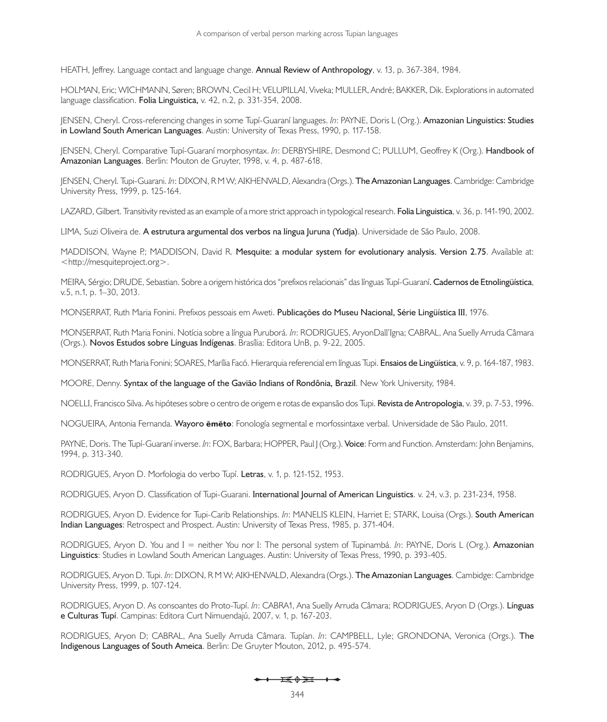HEATH, Jeffrey. Language contact and language change. **Annual Review of Anthropology**, v. 13, p. 367-384, 1984.

HOLMAN, Eric; WICHMANN, Søren; BROWN, Cecil H; VELUPILLAI, Viveka; MULLER, André; BAKKER, Dik. Explorations in automated language classification. **Folia Linguistica,** v. 42, n.2, p. 331-354, 2008.

JENSEN, Cheryl. Cross-referencing changes in some Tupí-Guaraní languages. *In*: PAYNE, Doris L (Org.). **Amazonian Linguistics: Studies in Lowland South American Languages**. Austin: University of Texas Press, 1990, p. 117-158.

JENSEN, Cheryl. Comparative Tupí-Guaraní morphosyntax. *In*: DERBYSHIRE, Desmond C; PULLUM, Geoffrey K (Org.). **Handbook of Amazonian Languages**. Berlin: Mouton de Gruyter, 1998, v. 4, p. 487-618.

JENSEN, Cheryl. Tupi-Guarani. *In*: DIXON, R M W; AIKHENVALD, Alexandra (Orgs.). **The Amazonian Languages**. Cambridge: Cambridge University Press, 1999, p. 125-164.

LAZARD, Gilbert. Transitivity revisted as an example of a more strict approach in typological research. **Folia Linguistica**, v. 36, p.141-190, 2002.

LIMA, Suzi Oliveira de. **A estrutura argumental dos verbos na língua Juruna (Yudja)**. Universidade de São Paulo, 2008.

MADDISON, Wayne P.; MADDISON, David R. **Mesquite: a modular system for evolutionary analysis. Version 2.75**. Available at: <http://mesquiteproject.org>.

MEIRA, Sérgio; DRUDE, Sebastian. Sobre a origem histórica dos "prefixos relacionais" das línguas Tupí-Guaraní**.Cadernos de Etnolingüística**, v.5, n.1, p. 1–30, 2013.

MONSERRAT, Ruth Maria Fonini. Prefixos pessoais em Aweti. **Publicações do Museu Nacional, Série Lingüística III**, 1976.

MONSERRAT, Ruth Maria Fonini. Notícia sobre a língua Puruborá. *In*: RODRIGUES, AryonDall'Igna; CABRAL, Ana Suelly Arruda Câmara (Orgs.). **Novos Estudos sobre Línguas Indígenas**. Brasília: Editora UnB, p. 9-22, 2005.

MONSERRAT, Ruth Maria Fonini; SOARES, Marília Facó. Hierarquia referencial em línguas Tupi. **Ensaios de Lingüística**, v. 9, p.164-187, 1983.

MOORE, Denny. **Syntax of the language of the Gavião Indians of Rondônia, Brazil**. New York University, 1984.

NOELLI, Francisco Silva. As hipóteses sobre o centro de origem e rotas de expansão dos Tupi. **Revista de Antropologia**, v. 39, p. 7-53, 1996.

NOGUEIRA, Antonia Fernanda. **Wayoro ẽmẽto**: Fonología segmental e morfossintaxe verbal. Universidade de São Paulo, 2011.

PAYNE, Doris. The Tupí-Guaraní inverse. *In*: FOX, Barbara; HOPPER, Paul J (Org.). **Voice**: Form and Function. Amsterdam: John Benjamins, 1994, p. 313-340.

RODRIGUES, Aryon D. Morfologia do verbo Tupí. **Letras**, v. 1, p. 121-152, 1953.

RODRIGUES, Aryon D. Classification of Tupi-Guarani. **International Journal of American Linguistics**. v. 24, v.3, p. 231-234, 1958.

RODRIGUES, Aryon D. Evidence for Tupi-Carib Relationships. *In*: MANELIS KLEIN, Harriet E; STARK, Louisa (Orgs.). **South American Indian Languages**: Retrospect and Prospect. Austin: University of Texas Press, 1985, p. 371-404.

RODRIGUES, Aryon D. You and I = neither You nor I: The personal system of Tupinambá. *In*: PAYNE, Doris L (Org.). **Amazonian Linguistics**: Studies in Lowland South American Languages. Austin: University of Texas Press, 1990, p. 393-405.

RODRIGUES, Aryon D. Tupi. *In*: DIXON, R M W; AIKHENVALD, Alexandra (Orgs.). **The Amazonian Languages**. Cambidge: Cambridge University Press, 1999, p. 107-124.

RODRIGUES, Aryon D. As consoantes do Proto-Tupí. *In*: CABRA1, Ana Suelly Arruda Câmara; RODRIGUES, Aryon D (Orgs.). **Línguas e Culturas Tupí**. Campinas: Editora Curt Nimuendajú, 2007, v. 1, p. 167-203.

RODRIGUES, Aryon D; CABRAL, Ana Suelly Arruda Câmara. Tupían. *In*: CAMPBELL, Lyle; GRONDONA, Veronica (Orgs.). **The Indigenous Languages of South Ameica**. Berlin: De Gruyter Mouton, 2012, p. 495-574.

 $+$   $\mathbb{R} \setminus \mathbb{R}$   $+$